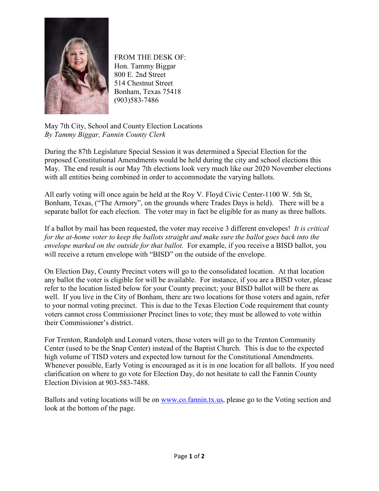

FROM THE DESK OF: Hon. Tammy Biggar 800 E. 2nd Street 514 Chestnut Street Bonham, Texas 75418 (903)583-7486

May 7th City, School and County Election Locations *By Tammy Biggar, Fannin County Clerk*

During the 87th Legislature Special Session it was determined a Special Election for the proposed Constitutional Amendments would be held during the city and school elections this May. The end result is our May 7th elections look very much like our 2020 November elections with all entities being combined in order to accommodate the varying ballots.

All early voting will once again be held at the Roy V. Floyd Civic Center-1100 W. 5th St, Bonham, Texas, ("The Armory", on the grounds where Trades Days is held). There will be a separate ballot for each election. The voter may in fact be eligible for as many as three ballots.

If a ballot by mail has been requested, the voter may receive 3 different envelopes! *It is critical for the at-home voter to keep the ballots straight and make sure the ballot goes back into the envelope marked on the outside for that ballot.* For example, if you receive a BISD ballot, you will receive a return envelope with "BISD" on the outside of the envelope.

On Election Day, County Precinct voters will go to the consolidated location. At that location any ballot the voter is eligible for will be available. For instance, if you are a BISD voter, please refer to the location listed below for your County precinct; your BISD ballot will be there as well. If you live in the City of Bonham, there are two locations for those voters and again, refer to your normal voting precinct. This is due to the Texas Election Code requirement that county voters cannot cross Commissioner Precinct lines to vote; they must be allowed to vote within their Commissioner's district.

For Trenton, Randolph and Leonard voters, those voters will go to the Trenton Community Center (used to be the Snap Center) instead of the Baptist Church. This is due to the expected high volume of TISD voters and expected low turnout for the Constitutional Amendments. Whenever possible, Early Voting is encouraged as it is in one location for all ballots. If you need clarification on where to go vote for Election Day, do not hesitate to call the Fannin County Election Division at 903-583-7488.

Ballots and voting locations will be on [www.co.fannin.tx.us,](http://www.co.fannin.tx.us/) please go to the Voting section and look at the bottom of the page.